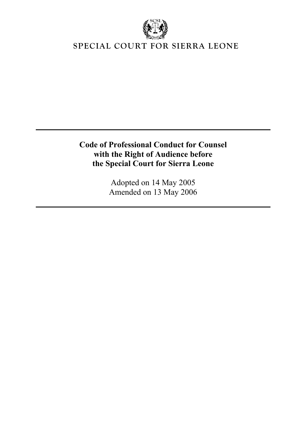

# **SPECIAL COURT FOR SIERRA LEONE**

**Code of Professional Conduct for Counsel dience before with the Right of Au Sierra Leone the Special Court for**

> Adopted on 14 May 2005 Amended on 13 May 2006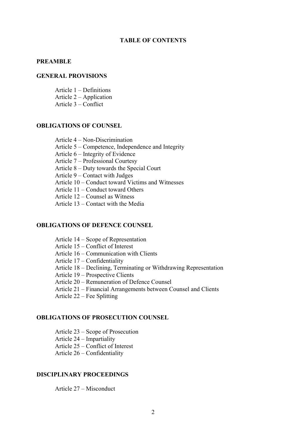## **TABLE OF CONTENTS**

#### **PREAMBLE**

#### **GENERAL PROVISIONS**

Article 1 – Definitions Article 2 – Application

Article 3 – Conflict

## **OB LIGATIONS OF COUNSEL**

Article 4 – Non-Discrimination

Article 5 – Competence, Independence and Integrity

Article 6 – Integrity of Evidence

Article 7 – Professional Courtesy

Article  $8 -$  Duty towards the Special Court

Article 9 – Contact with Judges

Article 10 – Conduct toward Victims and Witnesses

Article 11 – Conduct toward Others

Article 12 – Counsel as Witness

Article 13 – Contact with the Media

## **OB LIGATIONS OF DEFENCE COUNSEL**

Article 14 – Scope of Representation

Article 15 – Conflict of Interest

Article 16 – Communication with Clients

Article 17 – Confidentiality

Article 18 – Declining, Terminating or Withdrawing Representation

Article 19 – Prospective Clients

Article 20 – Remuneration of Defence Counsel

Article 21 – Financial Arrangements between Counsel and Clients

Article  $22$  – Fee Splitting

## **OBLIGATIONS OF PROSECUTION COUNSEL**

Article 23 – Scope of Prosecution

Article 24 – Impartiality

Article 25 – Conflict of Interest

Article 26 – Confidentiality

## **DISCIPLINARY PROCEEDINGS**

Article 27 – Misconduct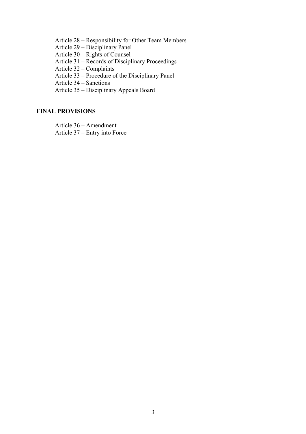Article 28 – Responsibility for Other Team Members

Article 29 – Disciplinary Panel

Article 30 – Rights of Counsel

Article 31 – Records of Disciplinary Proceedings

plaints Article 32 – Com

isciplinary Panel Article 33 – Procedure of the D

Article 34 – Sanctions

Article 35 – Disciplinary Appeals Board

## **FIN AL PROVISIONS**

Article 36 – Amendment

Article 37 – Entry into Force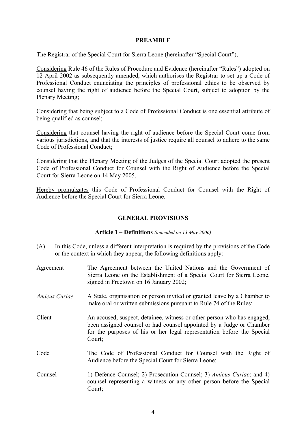# **PREAMBLE**

The Registrar of the Special Court for Sierra Leone (hereinafter "Special Court"),

Considering Rule 46 of the Rules of Procedure and Evidence (hereinafter "Rules") adopted on 12 April 2002 as subsequently amended, which authorises the Registrar to set up a Code of Professional Conduct enunciating the principles of professional ethics to be observed by counsel having the right of audience before the Special Court, subject to adoption by the Plenary Meeting;

Considering that being subject to a Code of Professional Conduct is one essential attribute of being qualified as counsel;

Considering that counsel having the right of audience before the Special Court come from various jurisdictions, and that the interests of justice require all counsel to ad here to the same Code of Professional Conduct;

Considering that the Plenary Meeting of the Judges of the Special Court adopted the present Code of Professional Conduct for Counsel with the Right of Audience before the Special Court for Sierra Leone on 14 May 2005,

Hereby promulgates this Code of Professional Conduct for Counsel with the Right of Audience before the Special Court for Sierra Leone.

# **GENERAL PROVISIONS**

## **Article 1 –** *06)* **Definitions** *(amended on 13 May 20*

- (A) In this Code, unless a different interpretation is required by the provisions of the Code or the context in which they appear, the following definitions apply:
- The Agreement between the United Nations and the Government of Sierra Leone on the Establishment of a Special Court for Sierra Leone, signed in Freetown on 16 January 2002; Agreement
- *Amicus Curiae* A State, organisation or person invited or granted leave by a Chamber to make oral or written submissions pursuant to Rule 74 of the Rules;
- Client An accused, suspect, detainee, witness or other person who has engaged, been assigned counsel or had counsel appointed by a Judge or Chamber for the purposes of his or her legal representation before the Special Court;
- Code The Code of Professional Conduct for Counsel with the Right of Audience before the Special Court for Sierra Leone;
- Counsel 1) Defence Counsel; 2) Prosecution Counsel; 3) *Amicus Curiae*; and 4) counsel representing a witness or any other person before the Special Court;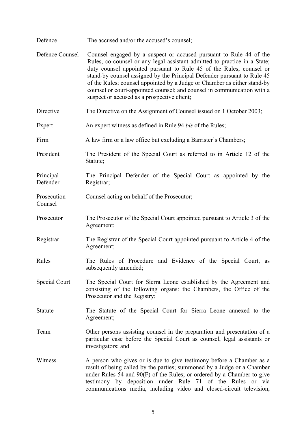- Defence The accused and/or the accused's counsel;
- Defence Counsel Counsel engaged by a suspect or accused pursuant to Rule 44 of the Rules, co-counsel or any legal assistant admitted to practice in a State; duty counsel appointed pursuant to Rule 45 of the Rules; counsel or stand-by counsel assigned by the Principal Defender pursuant to Rule 45 of the Rules; counsel appointed by a Judge or Chamber as either stand-by counsel or court-appointed counsel; and counsel in communication with a suspect or accused as a prospective client;
- Directive The Directive on the Assignment of Counsel issued on 1 October 2003;
- Expert An expert witness as defined in Rule 94 *bis* of the Rules;
- Firm A law firm or a law office but excluding a Barrister's Chambers;
- President The President of the Special Court as referred to in Article 12 of the Statute;

Principal Defender The Principal Defender of the Special Court as appointed by the Registrar;

Prosecution Counsel acting on behalf of the Prosecutor;

Counsel

- Prosecutor The Prosecutor of the Special Court appointed pursuant to Article 3 of the Agreement;
- Registrar The Registrar of the Special Court appointed pursuant to Article 4 of the Agreement;
- Rules The Rules of Procedure and Evidence of the Special Court, as subsequently amended;
- Special Court The Special Court for Sierra Leone established by the Agreement and consisting of the following organs: the Chambers, the Office of the Prosecutor and the Registr y;
- Statute The Statute of the Special Court for Sierra Leone annexed to the Agreement;
- Team Other persons assisting counsel in the preparation and presentation of a particular case before the Special Court as counsel, legal assistants or investigators; and
- Witness A person who gives or is due to give testimony before a Chamber as a result of being called by the parties; summoned by a Judge or a Chamber under Rules 54 and 90(F) of the Rules; or ordered by a Chamber to give testimony by deposition under Rule 71 of the Rules or via communications media, including video and closed-circuit television,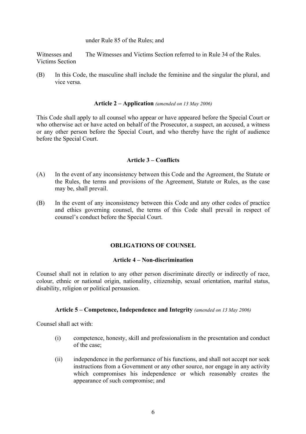under Rule 85 of the Rules; and

Witnesses and Victims Section and The Witnesses and Victims Section referred to in Rule 34 of the Rules.

(B) In this Code, the masculine shall include the feminine and the singular the plural, and vice versa.

# Article 2 – Application (amended on 13 May 2006)

This Code shall apply to all counsel who appear or have appeared before the Special Court or who otherwise act or have acted on behalf of the Prosecutor, a suspect, an accused, a witness or any other person before the Special Court, and who thereby have the right of audience before the Special Court.

# **Article 3 – Conflicts**

- (A) In the event of any inconsistency between this Code and the Agreement, the Statute or the Rules, the terms and provisions of the Agreement, Statute or Rules, as the case may be, shall prevail.
- (B) In the event of any inconsistency between this Code and any other codes of practice and ethics governing counsel, the terms of this Code shall prevail in respect of counsel's conduct before the Special Court.

# **OBLIGATIONS OF COUNSEL**

# **Article 4 – Non -discrimination**

Counsel shall not in relation to any other person discriminate directly or indirectly of race, colour, ethnic or national origin, nationality, citizenship, sexual orientation, marital status, disability, religion or political persuasion.

## Article 5 – Competence, Independence and Integrity (amended on 13 May 2006)

Counsel shall act with:

- (i) competence, honesty, skill and professionalism in the presentation and conduct of the case;
- (ii) independence in the performance of his functions, and shall not accept nor seek instructions from a Government or any other source, nor engage in any activity which compromises his independence or which reasonably creates the appearance of such compromise; and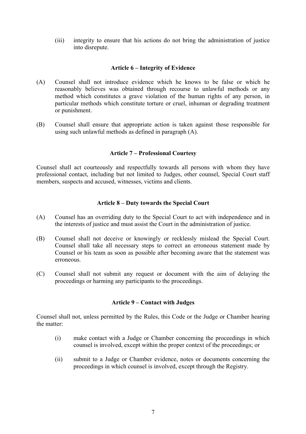(iii) integrity to ensure that his actions do not bring the administration of justice into disrepute.

# **Article 6 – Integrity of Evidence**

- (A) Counsel shall not introduce evidenc e which he knows to be false or which he reasonably believes was obtained through recourse to unlawful methods or any method which constitutes a grave violation of the human rights of any person, in particular methods which constitute torture or cruel, inhuman or degrading treatment or punishment.
- (B) Counsel shall ensure that appropriate action is taken against those responsible for using such unlawful methods as defined in paragraph (A).

# **Article 7 – Prof essional Courtesy**

Counsel shall act courteously and respectfully towards all persons with whom they have professional contact, including but not limited to Judges, other counsel, Special Court staff members, suspects and accused, witnesses, vic tims and clients.

# Article 8 – Duty towards the Special Court

- (A) Counsel has an overriding duty to the Special Court to act with independence and in the interests of justice and must assist the Court in the administration of justice.
- (B) Counsel shall not deceive or knowingly or recklessly mislead the Special Court. Counsel shall take all necessary steps to correct an erroneous statement made by Counsel or his team as soon as possible after becoming aware that the statement was erroneous.
- (C) Counsel shall not submit any request or document with the aim of delaying the proceedings or harming any participan ts to the proceedings.

# Article 9 – Contact with Judges

Counsel shall not, unless permitted by the Rules, this Code or the Judge or Chamber hearing the matte r:

- (i) make contact with a Judge or Chamber concerning the proceedings in which counsel is involved, except within the proper context of the proceedings; or
- (ii) submit to a Judge or Chamber evidence, notes or documents concerning the proceedings in which counsel is involved, except through the Registry.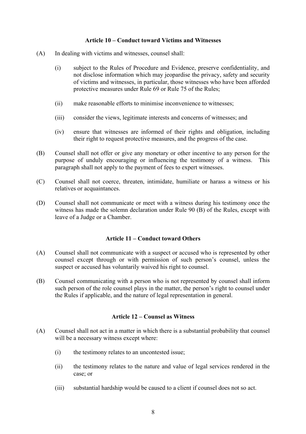# **Article 10 – Conduct toward Victims and Witnesses**

- (A) In dealing with victims and witnesses, counsel shall:
	- subject to the Rules of Procedure and Evidence, preserve confidentiality, and not disclose information which may jeopardise the privacy, safety and security of victims and witnesses, in particular, those witnesses who have been afforded protective measures under Rule 69 or Rule 75 of the Rules; (i)
	- (ii) make reasonable efforts to minimise inconvenience to witnesses;
	- (iii) consider the views, legitimate interests and concerns of witnesses; and
	- (iv) ensure that witnesses are informed of their rights and obligation, including their right to request protective measures, and the progress of the case.
- (B) Counsel shall not offer or give any monetary or other incentive to any person for the purpose of unduly encouraging or influencing the testimony of a witness. This paragraph shall not apply to the payment of fees to expert witnesses.
- (C) Counsel shall not coerce, threaten, intimidate, humiliate or harass a witness or his relatives or acquaintances.
- (D) Counsel shall not communicate or meet with a witness during his testimony once the witness has made the solemn declaration under Rule 90 (B) of the Rules, except with leave of a Judg e or a Chamber.

## **le 11 – Conduct toward Others Artic**

- (A) Counsel shall not communicate with a suspect or accused who is represented by other counsel except through or with permission of such person's counsel, unless the suspect or accused has voluntarily waived his right to counsel.
- (B) Counsel communicating with a person who is not represented by counsel shall inform such person of the role counsel plays in the matter, the person's right to counsel under the Rules if applicable, and the nature of legal representation in general.

## **Counsel as Witness Article 12 –**

- (A) Counsel shall not act in a matter in which there is a substantial probability that counsel will be a necessary witness except where:
	- (i) the testimony relates to an uncontested issue;
	- (ii) the testimony relates to the nature and value of legal services rendered in the case; or
	- (iii) substantial hardship would be caused to a client if counsel does not so act.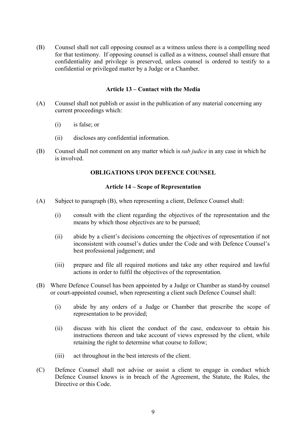(B) Counsel shall not call opposing counsel as a witness unless there is a compelling need for that testimony. If opposing counsel is called as a witness, counsel shall ensure that confidentiality and privilege is preserved, unless counsel is ordered to testify to a confidential or privileged matter by a Judge or a Chamber.

## **Article 13 – Contact with the Media**

- (A) Counsel shall not publish or assist in the publication of any material concerning any current proceedings which:
	- (i) is false ; or
	- (ii) discloses any confidential information.
- (B) Counsel shall not comment on any matter which is *sub judice* in any case in which he is involved.

# **OBLIGATIONS UPON DEFENCE COUNSEL**

## **Article 14 – Scope of Representation**

- (A) Subject to paragraph (B), when representing a client, Defence Counsel shall:
	- consult with the client regarding the objectives of the representation and the means by which those objectives are to be pursued; (i)
	- (ii) abide by a client's decisions concerning the objectives of representation if not inconsistent with counsel's duties under the Code and with Defence Counsel's best pro fessional judgement; and
	- (iii) prepare and file all required motions and take any other required and lawful actions in order to fulfil the objectives of the representation.
- (B) Where Defence Counsel has been appointed by a Judge or Chamber as stand-by counsel or court-appointed counsel, when representing a client such Defence Counsel shall:
	- (i) abide by any orders of a Judge or Chamber that prescribe the scope of representation to be provided;
	- (ii) discuss with his client the conduct of the case, endeavour to obtain his instructions thereon and take account of views expressed by the client, while retaining the right to determine what course to follow;
	- (iii) act throughout in the best interests of the client.
- (C) Defence Counsel shall not advise or assist a client to engage in conduct which Defence Counsel knows is in breach of the Agreement, the Statute, the Rules, the Directive or this Code.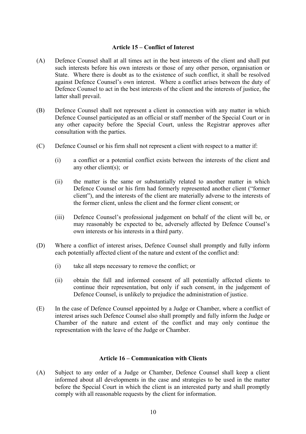# **Article 15 – Conflict of Interest**

- (A) Defence Counsel shall at all times act in the best interests of the client and shall put such interests before his own interests or those of any other person, organisation or State. Where there is doubt as to the existence of such conflict, it shall be resolved against Defence Counsel's own interest. Where a conflict arises between the duty of Defence Counsel to act in the best interests of the client and the interests of justice, the latter shall prevail.
- (B) Defence Counsel shall not represent a client in connection with any matter in which Defence Counsel participated as an official or staff member of the Special Court or in any other capacity before the Special Court, unless the Registrar approves after consultation with the parties.
- (C) Defence Counsel or his firm shall not represent a client with respect to a matter if:
	- (i) a conflict or a potential conflict exists between the interests of the client and any other client(s); or
	- (ii) the matter is the same or substantially related to another matter in which Defence Counsel or his firm had formerly represented another client ("former client"), and the interests of the client are materially adverse to the interests of the former client, unless the client and the former client consent; or
	- (iii) Defence Counsel's professional judgement on behalf of the client will be, or may reasonably be expected to be, adversely affected by Defence Counsel's own interests or his interests in a third party.
- (D) Where a conflict of interest arises, Defence Counsel shall promptly and fully inform each potentially affected client of the nature and extent of the conflict and:
	- (i) take all steps necessary to remove the conflict; or
	- (ii) obtain the full and informed consent of all potentially affected clients to continue their representation, but only if such consent, in the judgement of Defence Counsel, is unlikely to prejudice the administration of justice.
- (E) In the case of Defence Counsel appointed by a Judge or Chamber, where a conflict of interest arises such Defence Counsel also shall promptly and fully inform the Judge or Chamber of the nature and extent of the conflict and may only continue the representation with the leave of the Judge or Chamber.

# **Article 16 – Communication with Clients**

(A) Subject to any order of a Judge or Chamber, Defence Counsel shall keep a client informed about all developments in the case and strategies to be used in the matter before the Special Court in which the client is an interested party and shall promptly comply with all reasonable requests by the client for information.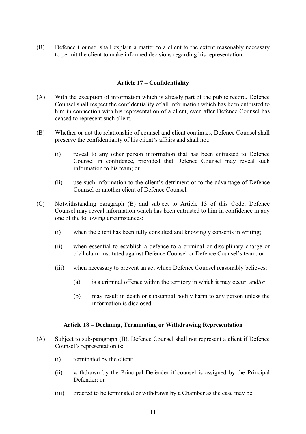(B) Defence Counsel shall explain a matter to a client to the extent reasonably necessary to permit the client to make informed decisions regarding his represen tation.

# **Article 17 – Confidentiality**

- (A) With the exception of information which is already part of the public record, Defence Counsel shall respect the confidentiality of all information which has been entrusted to him in connection with his representation of a client, even after Defence Counsel has ceased to represent such client.
- (B) Whether or not the relationship of counsel and client continues, Defence Counsel shall preserve the confidentiality of his client's affairs and shall not:
	- (i) reveal to any other person information that has been entrusted to Defence Counsel in confidence, provided that Defence Counsel may reveal such information to his team; or
	- (ii) use such information to the client's detriment or to the advantage of Defence Counsel or another client of Defence Counsel.
- (C) Notwithstanding paragraph (B) and subject to Article 13 of this Code, Defence Counsel may reveal information which has been entrusted to him in confidence in any one of the following circumstances:
	- (i) when the client has been fully consulted and knowingly consents in writing;
	- (ii) when essential to establish a defence to a criminal or disciplinary charge or civil claim instituted against Defence Counsel or Defence Counsel's team; or
	- (iii) when necessary to prevent an act which Defence Counsel reasonably believes:
		- $(a)$  is a criminal offence within the territory in which it may occur; and/or
		- (b) may result in death or substantial bodily harm to any person unless the information is disclosed.

## **Article 18 – Declining, Terminating or Withdrawing Representation**

- (A) Subject to sub-paragraph (B), Defence Counsel shall not represent a client if Defence Counsel's representation is:
	- (i) terminated by the client;
	- (ii) withdrawn by the Principal Defender if counsel is assigned by the Principal Defender; or
	- (iii) ordered to be terminated or withdrawn by a Chamber as the case may be.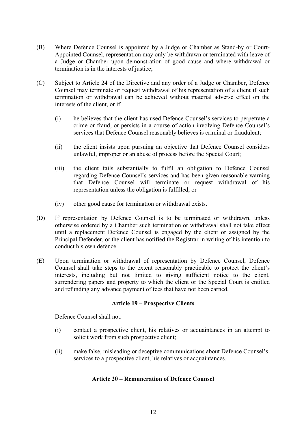- (B) Where Defence Counsel is appointed by a Judge or Chamber as St and-by or Court-Appointed Counsel, representation may only be withdrawn or termina ted with leave of a Judge or Chamber upon demonstration of good cause and wher e withdrawal or termination is in the interests of justice;
- (C) Subject to Article 24 of the Directive and any order of a Judge or Chamber, Defence Counsel may terminate or request withdrawal of his representation of a client if such termination or withdrawal can be achieved without material adverse effect on the interests of the client, or if:
	- (i) he believes that the client has used Defence Counsel's services to perpetrate a crime or fraud, or persists in a course of action involving Defence Counsel's services that Defence Counsel reasonably believes is criminal or fraudulent;
	- (ii) the client insists upon pursuing an objective that Defence Counsel considers unlawful, improper or an abuse of process before the Special Court;
	- (iii) the client fails substantially to fulfil an obligation to Defence Counsel regarding Defence Counsel's services and has been given reasonable warning that Defence Counsel will terminate or request withdrawal of his representation unless the obligation is fulfilled; or
	- (iv) other good cause for termination or withdrawal exists.
- (D) If representation by Defence Counsel is to be terminated or withdrawn, unless otherwise ordered by a Chamber such termination or withdrawal shall not take effect until a replacement Defence Counsel is engaged by the client or assigned by the Principal Defender, or the client has notified the Registrar in writing of his intention to co nduct his own defence.
- (E) Upon termination or withdrawal of representation by Defence Counsel, Defence Counsel shall take steps to the extent reasonably practicable to protect the client's interests, including but not limited to giving sufficient notice to the client, surrendering papers and property to which the client or the Special Court is entitled and refunding any advance payment of fees that have not been earned.

# **Article 19 – Prospective Clients**

Defence Counsel shall not:

- (i) contact a prospective client, his relatives or acquaintances in an attempt to solicit work from such prospective client;
- (ii) make false, misleading or deceptive communications about Defence Counsel's services to a prospective client, his relatives or acquaintances.

# **Article 20 – Remuneration of Defence Counsel**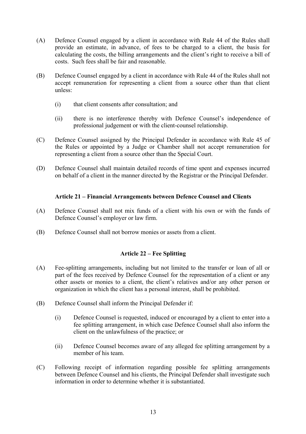- (A) Defence Counsel engaged by a client in accordance with Rule 44 o f the Rules shall provide an estimate, in advance, of fees to be charged to a client, the basis for calculating the costs, the billing arrangements and the client's right to receive a bill of costs. Such fees shall be fair and reasonable.
- (B) Defence Counsel engaged by a client in accordance with Rule 44 of the Rules shall not accept remuneration for representing a client from a source other than that client unless:
	- (i) that client consents after consultation; and
	- (ii) there is no interference thereby with Defence Counsel's independence of professional judgement or with the client-counsel relationship.
- (C) Defence Counsel assigned by the Principal Defender in accordance with Rule 45 of the Rules or appointed by a Judge or Chamber shall not accept remuneration for re presenting a client from a source other than the Special Court.
- (D) Defence Counsel shall maintain detailed records of time spent and expenses incurred on behalf of a client in the manner directed by the Registrar or the Principal Defender.

# Article 21 – Financial Arrangements between Defence Counsel and Clients

- (A) Defence Counsel shall not mix funds of a client with his own or with the funds of Defence Counsel's employer or law firm.
- (B) Defence Counsel shall not borrow monies or assets from a client.

## **icle 22 – Fee Splitting Art**

- (A) Fee-splitting arrangements, including but not limited to the transfer or loan of all or part of the fees received by Defence Counsel for the representation of a client or any other assets or monies to a client, the client's relatives and/or any other person or organization in which the client has a personal interest, shall be prohibited.
- (B) Defence Counsel shall inform the Principal Defender if:
	- (i) Defence Counsel is requested, induced or encouraged by a client to enter into a fee splitting arrangement, in which case Defence Counsel shall also inform the client on the unlawfulness of the practice; or
	- (ii) Defence Counsel becomes aware of any alleged fee splitting arrangement by a member of his team.
- (C) Following receipt of information regarding possible fee splitting arrangements between Defence Counsel and his clients, the Principal Defender shall investigate such information in order to determine whether it is substantiated.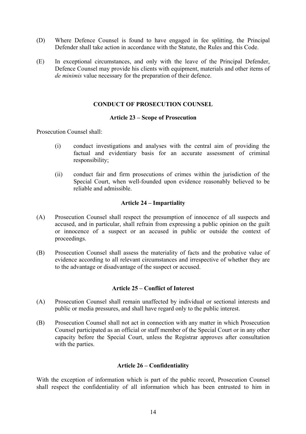- (D) Where Defence Counsel is found to have engaged in fee splitti ng, the Principal Defender shall take action in accordance with the Statute, the Rules an d this Code.
- (E) In exceptional circumstances, and only with the leave of the Principal Defender, Defence Counsel may provide his clients with equipment, materials and other items of *de minimis* value necessary for the preparation of their defence.

# **CONDUCT OF PROSECUTION COUNSEL**

## **Article 23 – Scope of Prosecution**

Prosecution Counsel shall:

- (i) conduct investigations and analyses with the central aim of providing the factual and evidentiary basis for an accurate assessment of criminal responsibility;
- (ii) conduct fair and firm prosecutions of crimes within the jurisdiction of the Special Court, when well-founded upon evidence reasonably believed to be reliable and admissible.

## **Article 24 – Impartiality**

- (A) Prosecution Counsel shall respect the presumption of innocence of all suspects and accused, and in particular, shall refrain from expressing a public opinion on the guilt or innocence of a suspect or an accused in public or outside the context of proceedings.
- (B) Prosecution Counsel shall assess the materiality of facts and the probative value of evidence according to all relevant circumstances and irrespective of whether they are to the advantage or disadvantage of the suspect or accused.

# **Article 25 – Conflict of Interest**

- (A) Prosecution Counsel shall remain unaffected by individual or sectional interests and public or media pressures, and shall have regard only to the public interest.
- (B) Prosecution Counsel shall not act in connection with any matter in which Prosecution Counsel participated as an official or staff member of the Special Court or in any other capacity before the Special Court, unless the Registrar approves after consultation with the parties.

## **Article 26 – Confidentiality**

With the exception of information which is part of the public record, Prosecution Counsel shall respect the confidentiality of all information which has been entrusted to him in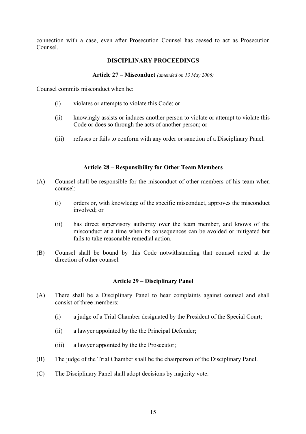connection with a case, even after Prosecution Counsel has ceased to act as Prosecution Counsel.

# **DISCIPLINARY PROCEEDINGS**

#### **Article 27 – Misconduct** *(amended on 13 May 2006)*

Counsel commits misconduct when he:

- (i) violates or attempts to violate this Code; or
- (ii) knowingly assists or induces another person to violate or attempt to violate this Code or does so through the acts of another person; or
- (iii) refuses or fails to conform with any order or sanction of a Disciplinary Panel.

# **Article 28 – Responsibility for Other Team Members**

- (A) Counsel shall be responsible for the misconduct of other members of his team when counsel:
	- (i) orders or, with knowledge of the specific misconduct, approves the misconduct involved; or
	- (ii) has direct supervisory authority over the team member, and knows of the misconduct at a time when its consequences can be avoided or mitigated but fails to take reasonable remedial action.
- (B) Counsel shall be bound by this Code notwithstanding that counsel acted at the direction of other counsel.

## **Article 29 – Disciplinary Panel**

- (A) There shall be a Disciplinary Panel to hear complaints against counsel and shall consist of three members:
	- (i) a judge of a Trial Chamber designated by the President of the Special Court;
	- (ii) a lawyer appointed by the the Principal Defender;
	- (iii) a lawyer appointed by the the Prosecutor;
- (B) The judge of the Trial Chamber shall be the chairperson of the Disciplinary Panel.
- (C) The Disciplinary Panel shall adopt decisions by majority vote.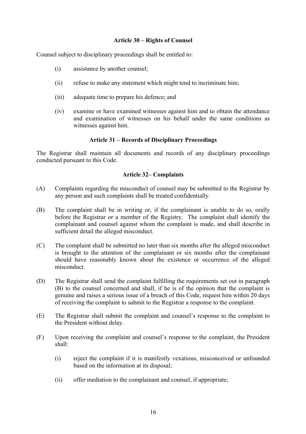# **Article 30 – Rights of Counsel**

Counsel subject to disciplinary proceedings shall be entitled to:

- (i) assistance by another counsel;
- (ii) refuse to make any statement which might tend to incriminate him;
- (iii) adequate time to prepare his defence; and
- (iv) examine or have examined witnesses against him and to obtain the attendance and examination of witnesses on his behalf under the same conditions as witnesses against him.

# **Article 31 – Records of Disciplinary Proceedings**

The Registrar shall maintain all documents and records of any disciplinary proceedings conducted pursuant to this Code.

# **Article 32– Complaints**

- (A) Complaints regarding the misconduct of counsel may be submitted to the Registrar by any person and such complaints shall be treated confidentially.
- (B) The complaint shall be in writing or, if the complainant is unable to do so, orally before the Registrar or a member of the Registry. The complaint shall identify the complainant and counsel against whom the complaint is made, and shall describe in sufficient detail the alleged misconduct.
- (C) The complaint shall be submitted no later than six months after the alleged misconduct is brought to the attention of the complainant or six months after the complainant should have reasonably known about the existence or occurrence of the alleged misconduct.
- (D) The Registrar shall send the complaint fulfilling the requirements set out in paragraph  $(B)$  to the counsel concerned and shall, if he is of the opinion that the complaint is genuine and raises a serious issue of a breach of this Code, request him within 20 days of receiving the complaint to submit to the Registrar a response to the complaint.
- (E) The Registrar shall submit the complaint and counsel's response to the complaint to the President without delay.
- (F) Upon receiving the complaint and counsel's response to the complaint, the President shall:
	- (i) reject the complaint if it is manifestly vexatious, misconceived or unfounded based on the information at its disposal;
	- (ii) offer mediation to the complainant and counsel, if appropriate;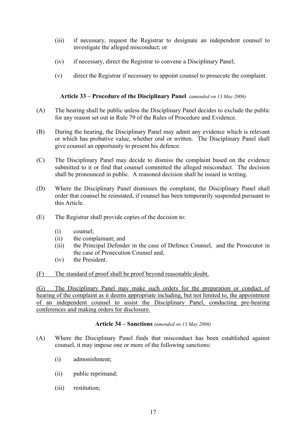- (iii) if necessary, request the Registrar to designate an independent counsel to investigate the alleged misconduct; or
- (iv) if necessary, direct the Registrar to convene a Disciplinary Panel;
- $(v)$  direct the Registrar if necessary to appoint counsel to prosecute the complaint.

# Article 33 – Procedure of the Disciplinary Panel *(amended on 13 May 2006)*

- (A) The hearing shall be public unless the Disciplinary Panel decides to exclude the public for any reason set out in Rule 79 of the Rules of Procedure and Evidence.
- (B) During the hearing, the Disciplinary Panel may admit any evidence which is relevant or which has probative value, whether oral or written. The Disciplinary Panel shall give counsel an opportunity to present his defence.
- (C) The Disciplinary Panel may decide to dismiss the complaint based on the evidence submitted to it or find that counsel committed the alleged misconduct. The decision shall be pronounced in public. A reasoned decision shall be issued in writing.
- (D) Where the Disciplinary Panel dismisses the complaint, the Disciplinary Panel shall order that counsel be reinstated, if counsel has been temporarily suspended pursuant to this Article.
- (E) The Registrar shall provide copies of the decision to:
	- (i) counsel ;
	- (ii) the complainant; and
	- (iii) the Principal Defender in the case of Defence Counsel, and the Prosecutor in the case of Prosecution Counsel and,
	- (iv) the President.

(F) The standard of proof shall be proof beyond reasonable doubt.

(G) The Disciplinary Panel may make such orders for the preparation or conduct of hearing of the complaint as it deems appropriate including, but not limited to, the appointment of an independent counsel to assist the Disciplinary Panel, conducting pre-hearing conferences and making orders for disclosure.

# **Article 34 – Sanctions** *(amended on 13 May 2006)*

- (A) Where the Disciplinary Panel finds that misconduct has been established against counsel, it may impose one or more of the following sanctions:
	- (i) admonishment;
	- (ii) public reprimand;
	- (iii) restitution;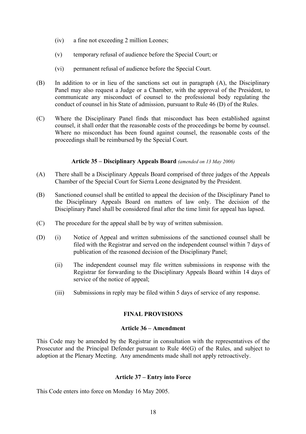- (iv) a fine not exceeding 2 million Leones;
- (v) temporary refusal of audience before the Special Court; or
- (vi) permanent refusal of audience before the Special Court.
- (B) In addition to or in lieu of the sanctions set out in paragraph (A), the Disciplinary Panel may also request a Judge or a Chamber, with the approval of the President, to communicate any misconduct of counsel to the professional body regulating the conduct of counsel in his State of admission, pursuant to Rule 46 (D) of the Rules.
- (C) Where the Disciplinary Panel finds that misconduct has been established against counsel, it shall order that the reasonable costs of the proceedings be borne by counsel. Where no misconduct has been found against counsel, the reasonable costs of the proceedings shall be reimbursed by the Special Court.

# *(amended on 13 May 2006)* **Article 35 – Disciplinary Appeals Board**

- (A) There shall be a Disciplinary Appeals Board comprised of three judges of the Appeals Chamber of the Special Court for Sierra Leone designated by the President.
- (B) Sanctioned counsel shall be entitled to appeal the decision of the Disciplinary Panel to the Disciplinary Appeals Board on matters of law only. The decision of the Disciplinary Panel shall be considered final after the time limit for appeal has lapsed.
- $(C)$  The procedure for the appeal shall be by way of written submission.
- (D) (i) Notice of Appeal and written submissions of the sanctioned counsel shall be filed with the Registrar and served on the independent counsel within 7 days of publication of the reasoned decision of the Disciplinary Panel;
	- (ii) The independent counsel may file written submissions in response with the Registrar for forwarding to the Disciplinary Appeals Board within 14 days of service of the notice of appeal;
	- (iii) Submissions in reply may be filed within 5 days of service of any response.

# **FINAL PROVISIONS**

## **Article 36 – Amendment**

This Code may be amended by the Registrar in consultation with the representatives of the Prosecutor and the Principal Defender pursuant to Rule 46(G) of the Rules, and subject to adoption at the Plenary Meeting. Any amendments made shall not apply retroactively.

## **Article 37 – Entry into Force**

This Code enters into force on Monday 16 May 2005.